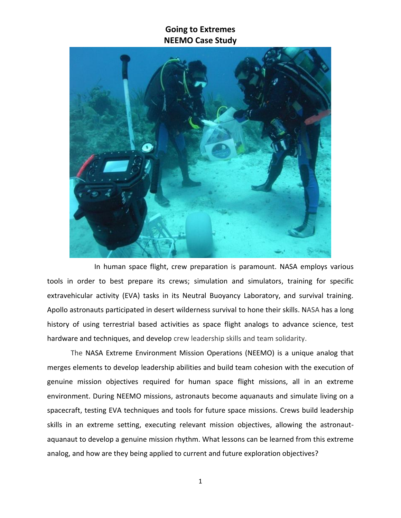

In human space flight, crew preparation is paramount. NASA employs various tools in order to best prepare its crews; simulation and simulators, training for specific extravehicular activity (EVA) tasks in its Neutral Buoyancy Laboratory, and survival training. Apollo astronauts participated in desert wilderness survival to hone their skills. NASA has a long history of using terrestrial based activities as space flight analogs to advance science, test hardware and techniques, and develop crew leadership skills and team solidarity.

The NASA Extreme Environment Mission Operations (NEEMO) is a unique analog that merges elements to develop leadership abilities and build team cohesion with the execution of genuine mission objectives required for human space flight missions, all in an extreme environment. During NEEMO missions, astronauts become aquanauts and simulate living on a spacecraft, testing EVA techniques and tools for future space missions. Crews build leadership skills in an extreme setting, executing relevant mission objectives, allowing the astronautaquanaut to develop a genuine mission rhythm. What lessons can be learned from this extreme analog, and how are they being applied to current and future exploration objectives?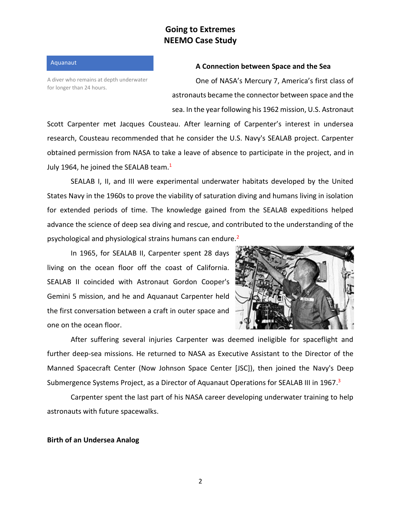Aquanaut

A diver who remains at depth underwater for longer than 24 hours.

#### **A Connection between Space and the Sea**

One of NASA's Mercury 7, America's first class of astronauts became the connector between space and the sea. In the year following his 1962 mission, U.S. Astronaut

Scott Carpenter met Jacques Cousteau. After learning of Carpenter's interest in undersea research, Cousteau recommended that he consider the U.S. Navy's SEALAB project. Carpenter obtained permission from NASA to take a leave of absence to participate in the project, and in July 1964, he joined the SEALAB team.<sup>1</sup>

SEALAB I, II, and III were experimental underwater habitats developed by the United States Navy in the 1960s to prove the viability of saturation diving and humans living in isolation for extended periods of time. The knowledge gained from the SEALAB expeditions helped advance the science of deep sea diving and rescue, and contributed to the understanding of the psychological and physiological strains humans can endure.<sup>2</sup>

In 1965, for SEALAB II, Carpenter spent 28 days living on the ocean floor off the coast of California. SEALAB II coincided with Astronaut Gordon Cooper's Gemini 5 mission, and he and Aquanaut Carpenter held the first conversation between a craft in outer space and one on the ocean floor.



After suffering several injuries Carpenter was deemed ineligible for spaceflight and further deep-sea missions. He returned to NASA as Executive Assistant to the Director of the Manned Spacecraft Center (Now Johnson Space Center [JSC]), then joined the Navy's Deep Submergence Systems Project, as a Director of Aquanaut Operations for SEALAB III in 1967.<sup>3</sup>

Carpenter spent the last part of his NASA career developing underwater training to help astronauts with future spacewalks.

#### **Birth of an Undersea Analog**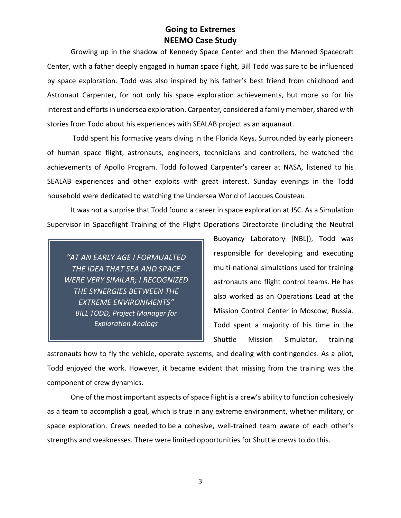Growing up in the shadow of Kennedy Space Center and then the Manned Spacecraft Center, with a father deeply engaged in human space flight, Bill Todd was sure to be influenced by space exploration. Todd was also inspired by his father's best friend from childhood and Astronaut Carpenter, for not only his space exploration achievements, but more so for his interest and efforts in undersea exploration. Carpenter, considered a family member, shared with stories from Todd about his experiences with SEALAB project as an aquanaut.

Todd spent his formative years diving in the Florida Keys. Surrounded by early pioneers of human space flight, astronauts, engineers, technicians and controllers, he watched the achievements of Apollo Program. Todd followed Carpenter's career at NASA, listened to his SEALAB experiences and other exploits with great interest. Sunday evenings in the Todd household were dedicated to watching the Undersea World of Jacques Cousteau.

It was not a surprise that Todd found a career in space exploration at JSC. As a Simulation Supervisor in Spaceflight Training of the Flight Operations Directorate (including the Neutral

*"AT AN EARLY AGE I FORMUALTED THE IDEA THAT SEA AND SPACE WERE VERY SIMILAR; I RECOGNIZED THE SYNERGIES BETWEEN THE EXTREME ENVIRONMENTS" BILL TODD, Project Manager for Exploration Analogs*

Buoyancy Laboratory [NBL]), Todd was responsible for developing and executing multi-national simulations used for training astronauts and flight control teams. He has also worked as an Operations Lead at the Mission Control Center in Moscow, Russia. Todd spent a majority of his time in the Shuttle Mission Simulator, training

astronauts how to fly the vehicle, operate systems, and dealing with contingencies. As a pilot, Todd enjoyed the work. However, it became evident that missing from the training was the component of crew dynamics.

One of the most important aspects of space flight is a crew's ability to function cohesively as a team to accomplish a goal, which is true in any extreme environment, whether military, or space exploration. Crews needed to be a cohesive, well-trained team aware of each other's strengths and weaknesses. There were limited opportunities for Shuttle crews to do this.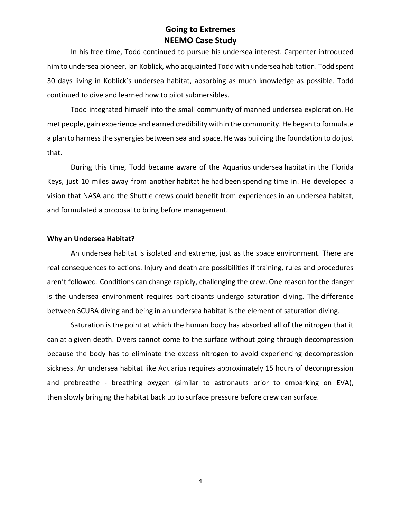In his free time, Todd continued to pursue his undersea interest. Carpenter introduced him to undersea pioneer, Ian Koblick, who acquainted Todd with undersea habitation. Todd spent 30 days living in Koblick's undersea habitat, absorbing as much knowledge as possible. Todd continued to dive and learned how to pilot submersibles.

Todd integrated himself into the small community of manned undersea exploration. He met people, gain experience and earned credibility within the community. He began to formulate a plan to harness the synergies between sea and space. He was building the foundation to do just that.

During this time, Todd became aware of the Aquarius undersea habitat in the Florida Keys, just 10 miles away from another habitat he had been spending time in. He developed a vision that NASA and the Shuttle crews could benefit from experiences in an undersea habitat, and formulated a proposal to bring before management.

#### **Why an Undersea Habitat?**

An undersea habitat is isolated and extreme, just as the space environment. There are real consequences to actions. Injury and death are possibilities if training, rules and procedures aren't followed. Conditions can change rapidly, challenging the crew. One reason for the danger is the undersea environment requires participants undergo saturation diving. The difference between SCUBA diving and being in an undersea habitat is the element of saturation diving.

Saturation is the point at which the human body has absorbed all of the nitrogen that it can at a given depth. Divers cannot come to the surface without going through decompression because the body has to eliminate the excess nitrogen to avoid experiencing decompression sickness. An undersea habitat like Aquarius requires approximately 15 hours of decompression and prebreathe - breathing oxygen (similar to astronauts prior to embarking on EVA), then slowly bringing the habitat back up to surface pressure before crew can surface.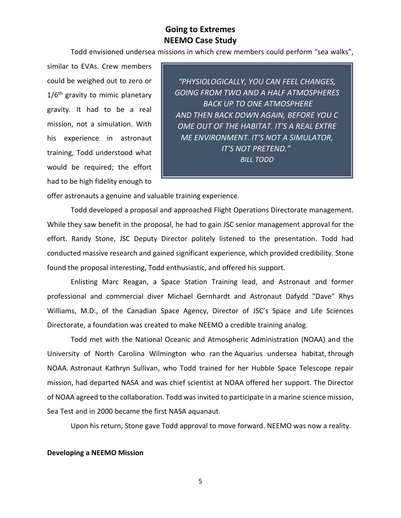Todd envisioned undersea missions in which crew members could perform "sea walks",

similar to EVAs. Crew members could be weighed out to zero or  $1/6<sup>th</sup>$  gravity to mimic planetary gravity. It had to be a real mission, not a simulation. With his experience in astronaut training, Todd understood what would be required; the effort had to be high fidelity enough to

*"PHYSIOLOGICALLY, YOU CAN FEEL CHANGES, GOING FROM TWO AND A HALF ATMOSPHERES BACK UP TO ONE ATMOSPHERE AND THEN BACK DOWN AGAIN, BEFORE YOU C OME OUT OF THE HABITAT. IT'S A REAL EXTRE ME ENVIRONMENT. IT'S NOT A SIMULATOR, IT'S NOT PRETEND." BILL TODD*

offer astronauts a genuine and valuable training experience.

Todd developed a proposal and approached Flight Operations Directorate management. While they saw benefit in the proposal, he had to gain JSC senior management approval for the effort. Randy Stone, JSC Deputy Director politely listened to the presentation. Todd had conducted massive research and gained significant experience, which provided credibility. Stone found the proposal interesting, Todd enthusiastic, and offered his support.

Enlisting Marc Reagan, a Space Station Training lead, and Astronaut and former professional and commercial diver Michael Gernhardt and Astronaut Dafydd "Dave" Rhys Williams, M.D., of the Canadian Space Agency, Director of JSC's Space and Life Sciences Directorate, a foundation was created to make NEEMO a credible training analog.

Todd met with the National Oceanic and Atmospheric Administration (NOAA) and the University of North Carolina Wilmington who ran the Aquarius undersea habitat, through NOAA. Astronaut Kathryn Sullivan, who Todd trained for her Hubble Space Telescope repair mission, had departed NASA and was chief scientist at NOAA offered her support. The Director of NOAA agreed to the collaboration. Todd was invited to participate in a marine science mission, Sea Test and in 2000 became the first NASA aquanaut.

Upon his return, Stone gave Todd approval to move forward. NEEMO was now a reality.

#### **Developing a NEEMO Mission**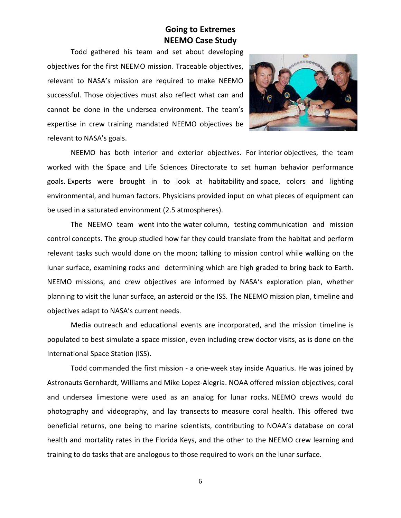Todd gathered his team and set about developing objectives for the first NEEMO mission. Traceable objectives, relevant to NASA's mission are required to make NEEMO successful. Those objectives must also reflect what can and cannot be done in the undersea environment. The team's expertise in crew training mandated NEEMO objectives be relevant to NASA's goals.



NEEMO has both interior and exterior objectives. For interior objectives, the team worked with the Space and Life Sciences Directorate to set human behavior performance goals. Experts were brought in to look at habitability and space, colors and lighting environmental, and human factors. Physicians provided input on what pieces of equipment can be used in a saturated environment (2.5 atmospheres).

The NEEMO team went into the water column, testing communication and mission control concepts. The group studied how far they could translate from the habitat and perform relevant tasks such would done on the moon; talking to mission control while walking on the lunar surface, examining rocks and determining which are high graded to bring back to Earth. NEEMO missions, and crew objectives are informed by NASA's exploration plan, whether planning to visit the lunar surface, an asteroid or the ISS. The NEEMO mission plan, timeline and objectives adapt to NASA's current needs.

Media outreach and educational events are incorporated, and the mission timeline is populated to best simulate a space mission, even including crew doctor visits, as is done on the International Space Station (ISS).

Todd commanded the first mission - a one-week stay inside Aquarius. He was joined by Astronauts Gernhardt, Williams and Mike Lopez-Alegria. NOAA offered mission objectives; coral and undersea limestone were used as an analog for lunar rocks. NEEMO crews would do photography and videography, and lay transects to measure coral health. This offered two beneficial returns, one being to marine scientists, contributing to NOAA's database on coral health and mortality rates in the Florida Keys, and the other to the NEEMO crew learning and training to do tasks that are analogous to those required to work on the lunar surface.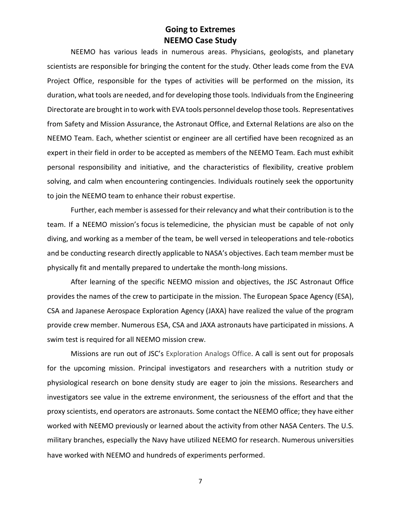NEEMO has various leads in numerous areas. Physicians, geologists, and planetary scientists are responsible for bringing the content for the study. Other leads come from the EVA Project Office, responsible for the types of activities will be performed on the mission, its duration, what tools are needed, and for developing those tools. Individuals from the Engineering Directorate are brought in to work with EVA tools personnel develop those tools. Representatives from Safety and Mission Assurance, the Astronaut Office, and External Relations are also on the NEEMO Team. Each, whether scientist or engineer are all certified have been recognized as an expert in their field in order to be accepted as members of the NEEMO Team. Each must exhibit personal responsibility and initiative, and the characteristics of flexibility, creative problem solving, and calm when encountering contingencies. Individuals routinely seek the opportunity to join the NEEMO team to enhance their robust expertise.

Further, each member is assessed for their relevancy and what their contribution is to the team. If a NEEMO mission's focus is telemedicine, the physician must be capable of not only diving, and working as a member of the team, be well versed in teleoperations and tele-robotics and be conducting research directly applicable to NASA's objectives. Each team member must be physically fit and mentally prepared to undertake the month-long missions.

After learning of the specific NEEMO mission and objectives, the JSC Astronaut Office provides the names of the crew to participate in the mission. The European Space Agency (ESA), CSA and Japanese Aerospace Exploration Agency (JAXA) have realized the value of the program provide crew member. Numerous ESA, CSA and JAXA astronauts have participated in missions. A swim test is required for all NEEMO mission crew.

Missions are run out of JSC's Exploration Analogs Office. A call is sent out for proposals for the upcoming mission. Principal investigators and researchers with a nutrition study or physiological research on bone density study are eager to join the missions. Researchers and investigators see value in the extreme environment, the seriousness of the effort and that the proxy scientists, end operators are astronauts. Some contact the NEEMO office; they have either worked with NEEMO previously or learned about the activity from other NASA Centers. The U.S. military branches, especially the Navy have utilized NEEMO for research. Numerous universities have worked with NEEMO and hundreds of experiments performed.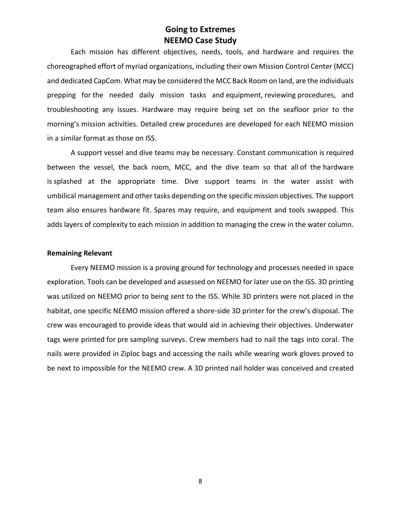Each mission has different objectives, needs, tools, and hardware and requires the choreographed effort of myriad organizations, including their own Mission Control Center (MCC) and dedicated CapCom. What may be considered the MCC Back Room on land, are the individuals prepping for the needed daily mission tasks and equipment, reviewing procedures, and troubleshooting any issues. Hardware may require being set on the seafloor prior to the morning's mission activities. Detailed crew procedures are developed for each NEEMO mission in a similar format as those on ISS.

A support vessel and dive teams may be necessary. Constant communication is required between the vessel, the back room, MCC, and the dive team so that all of the hardware is splashed at the appropriate time. Dive support teams in the water assist with umbilical management and other tasks depending on the specific mission objectives. The support team also ensures hardware fit. Spares may require, and equipment and tools swapped. This adds layers of complexity to each mission in addition to managing the crew in the water column.

#### **Remaining Relevant**

Every NEEMO mission is a proving ground for technology and processes needed in space exploration. Tools can be developed and assessed on NEEMO for later use on the ISS. 3D printing was utilized on NEEMO prior to being sent to the ISS. While 3D printers were not placed in the habitat, one specific NEEMO mission offered a shore-side 3D printer for the crew's disposal. The crew was encouraged to provide ideas that would aid in achieving their objectives. Underwater tags were printed for pre sampling surveys. Crew members had to nail the tags into coral. The nails were provided in Ziploc bags and accessing the nails while wearing work gloves proved to be next to impossible for the NEEMO crew. A 3D printed nail holder was conceived and created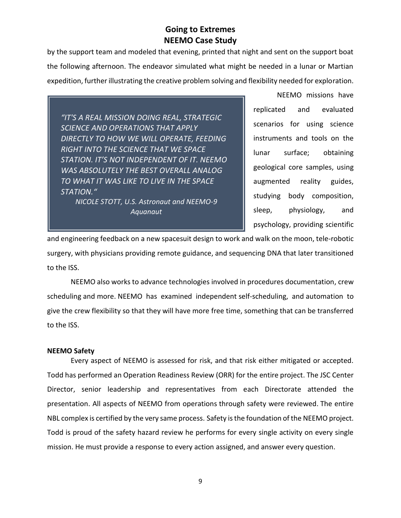by the support team and modeled that evening, printed that night and sent on the support boat the following afternoon. The endeavor simulated what might be needed in a lunar or Martian expedition, further illustrating the creative problem solving and flexibility needed for exploration.

*"IT'S A REAL MISSION DOING REAL, STRATEGIC SCIENCE AND OPERATIONS THAT APPLY DIRECTLY TO HOW WE WILL OPERATE, FEEDING RIGHT INTO THE SCIENCE THAT WE SPACE STATION. IT'S NOT INDEPENDENT OF IT. NEEMO WAS ABSOLUTELY THE BEST OVERALL ANALOG TO WHAT IT WAS LIKE TO LIVE IN THE SPACE STATION." NICOLE STOTT, U.S. Astronaut and NEEMO-9* 

*Aquanaut*

NEEMO missions have replicated and evaluated scenarios for using science instruments and tools on the lunar surface; obtaining geological core samples, using augmented reality guides, studying body composition, sleep, physiology, and psychology, providing scientific

and engineering feedback on a new spacesuit design to work and walk on the moon, tele-robotic surgery, with physicians providing remote guidance, and sequencing DNA that later transitioned to the ISS.

NEEMO also works to advance technologies involved in procedures documentation, crew scheduling and more. NEEMO has examined independent self-scheduling, and automation to give the crew flexibility so that they will have more free time, something that can be transferred to the ISS.

#### **NEEMO Safety**

Every aspect of NEEMO is assessed for risk, and that risk either mitigated or accepted. Todd has performed an Operation Readiness Review (ORR) for the entire project. The JSC Center Director, senior leadership and representatives from each Directorate attended the presentation. All aspects of NEEMO from operations through safety were reviewed. The entire NBL complex is certified by the very same process. Safety is the foundation of the NEEMO project. Todd is proud of the safety hazard review he performs for every single activity on every single mission. He must provide a response to every action assigned, and answer every question.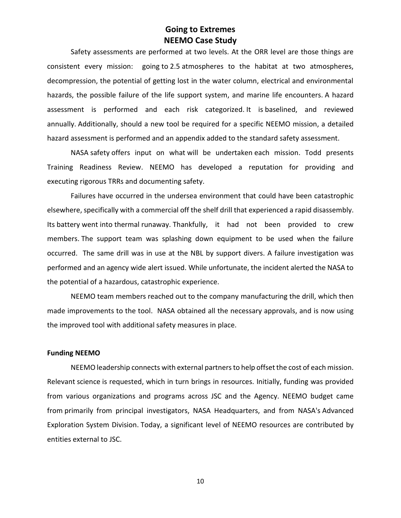Safety assessments are performed at two levels. At the ORR level are those things are consistent every mission: going to 2.5 atmospheres to the habitat at two atmospheres, decompression, the potential of getting lost in the water column, electrical and environmental hazards, the possible failure of the life support system, and marine life encounters. A hazard assessment is performed and each risk categorized. It is baselined, and reviewed annually. Additionally, should a new tool be required for a specific NEEMO mission, a detailed hazard assessment is performed and an appendix added to the standard safety assessment.

NASA safety offers input on what will be undertaken each mission. Todd presents Training Readiness Review. NEEMO has developed a reputation for providing and executing rigorous TRRs and documenting safety.

Failures have occurred in the undersea environment that could have been catastrophic elsewhere, specifically with a commercial off the shelf drill that experienced a rapid disassembly. Its battery went into thermal runaway. Thankfully, it had not been provided to crew members. The support team was splashing down equipment to be used when the failure occurred. The same drill was in use at the NBL by support divers. A failure investigation was performed and an agency wide alert issued. While unfortunate, the incident alerted the NASA to the potential of a hazardous, catastrophic experience.

NEEMO team members reached out to the company manufacturing the drill, which then made improvements to the tool. NASA obtained all the necessary approvals, and is now using the improved tool with additional safety measures in place.

#### **Funding NEEMO**

NEEMO leadership connects with external partners to help offset the cost of each mission. Relevant science is requested, which in turn brings in resources. Initially, funding was provided from various organizations and programs across JSC and the Agency. NEEMO budget came from primarily from principal investigators, NASA Headquarters, and from NASA's Advanced Exploration System Division. Today, a significant level of NEEMO resources are contributed by entities external to JSC.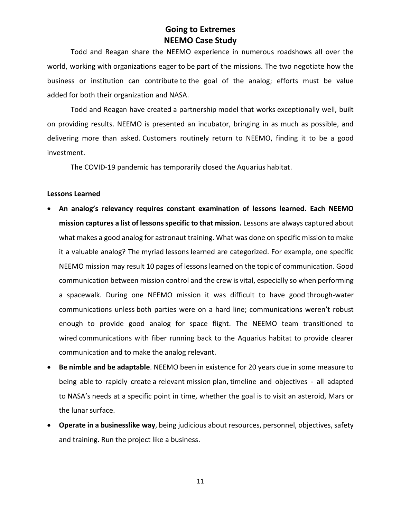Todd and Reagan share the NEEMO experience in numerous roadshows all over the world, working with organizations eager to be part of the missions. The two negotiate how the business or institution can contribute to the goal of the analog; efforts must be value added for both their organization and NASA.

Todd and Reagan have created a partnership model that works exceptionally well, built on providing results. NEEMO is presented an incubator, bringing in as much as possible, and delivering more than asked. Customers routinely return to NEEMO, finding it to be a good investment.

The COVID-19 pandemic has temporarily closed the Aquarius habitat.

#### **Lessons Learned**

- **An analog's relevancy requires constant examination of lessons learned. Each NEEMO mission captures a list of lessons specific to that mission.** Lessons are always captured about what makes a good analog for astronaut training. What was done on specific mission to make it a valuable analog? The myriad lessons learned are categorized. For example, one specific NEEMO mission may result 10 pages of lessons learned on the topic of communication. Good communication between mission control and the crew is vital, especially so when performing a spacewalk. During one NEEMO mission it was difficult to have good through-water communications unless both parties were on a hard line; communications weren't robust enough to provide good analog for space flight. The NEEMO team transitioned to wired communications with fiber running back to the Aquarius habitat to provide clearer communication and to make the analog relevant.
- **Be nimble and be adaptable**. NEEMO been in existence for 20 years due in some measure to being able to rapidly create a relevant mission plan, timeline and objectives - all adapted to NASA's needs at a specific point in time, whether the goal is to visit an asteroid, Mars or the lunar surface.
- **Operate in a businesslike way**, being judicious about resources, personnel, objectives, safety and training. Run the project like a business.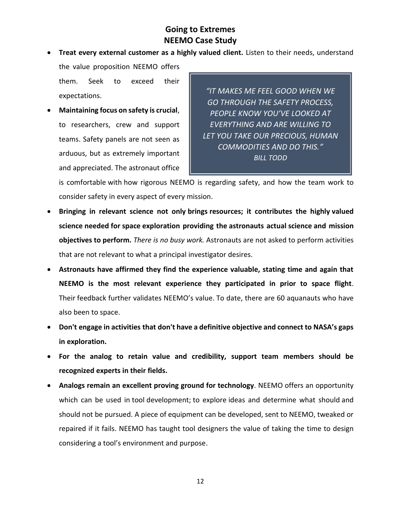- **Treat every external customer as a highly valued client.** Listen to their needs, understand the value proposition NEEMO offers them. Seek to exceed their
- **Maintaining focus on safety is crucial**, to researchers, crew and support teams. Safety panels are not seen as arduous, but as extremely important and appreciated. The astronaut office

expectations.

*"IT MAKES ME FEEL GOOD WHEN WE GO THROUGH THE SAFETY PROCESS, PEOPLE KNOW YOU'VE LOOKED AT EVERYTHING AND ARE WILLING TO LET YOU TAKE OUR PRECIOUS, HUMAN COMMODITIES AND DO THIS." BILL TODD*

is comfortable with how rigorous NEEMO is regarding safety, and how the team work to consider safety in every aspect of every mission.

- **Bringing in relevant science not only brings resources; it contributes the highly valued science needed for space exploration providing the astronauts actual science and mission objectives to perform.** *There is no busy work.* Astronauts are not asked to perform activities that are not relevant to what a principal investigator desires.
- **Astronauts have affirmed they find the experience valuable, stating time and again that NEEMO is the most relevant experience they participated in prior to space flight**. Their feedback further validates NEEMO's value. To date, there are 60 aquanauts who have also been to space.
- **Don't engage in activities that don't have a definitive objective and connect to NASA's gaps in exploration.**
- **For the analog to retain value and credibility, support team members should be recognized experts in their fields.**
- **Analogs remain an excellent proving ground for technology**. NEEMO offers an opportunity which can be used in tool development; to explore ideas and determine what should and should not be pursued. A piece of equipment can be developed, sent to NEEMO, tweaked or repaired if it fails. NEEMO has taught tool designers the value of taking the time to design considering a tool's environment and purpose.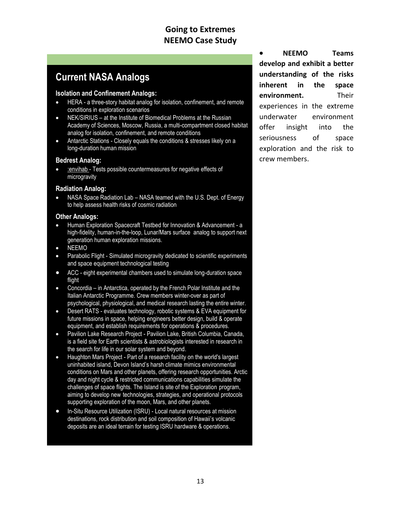# **Current NASA Analogs**

#### **Isolation and Confinement Analogs:**

- HERA a three-story habitat analog for isolation, confinement, and remote conditions in exploration scenarios
- NEK/SIRIUS at the Institute of Biomedical Problems at the Russian Academy of Sciences, Moscow, Russia, a multi-compartment closed habitat analog for isolation, confinement, and remote conditions
- Antarctic Stations Closely equals the conditions & stresses likely on a long-duration human mission

#### **Bedrest Analog:**

 [:envihab](https://www.nasa.gov/analogs/envihab) - Tests possible countermeasures for negative effects of microgravity

#### **Radiation Analog:**

 NASA Space Radiation Lab – NASA teamed with the U.S. Dept. of Energy to help assess health risks of cosmic radiation

#### **Other Analogs:**

- Human Exploration Spacecraft Testbed for Innovation & Advancement a high-fidelity, human-in-the-loop, Lunar/Mars surface analog to support next generation human exploration missions.
- NEEMO
- Parabolic Flight Simulated microgravity dedicated to scientific experiments and space equipment technological testing
- ACC eight experimental chambers used to simulate long-duration space flight
- Concordia in Antarctica, operated by the French Polar Institute and the Italian Antarctic Programme. Crew members winter-over as part of psychological, physiological, and medical research lasting the entire winter.
- Desert RATS evaluates technology, robotic systems & EVA equipment for future missions in space, helping engineers better design, build & operate equipment, and establish requirements for operations & procedures.
- Pavilion Lake Research Project Pavilion Lake, British Columbia, Canada, is a field site for Earth scientists & astrobiologists interested in research in the search for life in our solar system and beyond.
- Haughton Mars Project Part of a research facility on the world's largest uninhabited island, Devon Island's harsh climate mimics environmental conditions on Mars and other planets, offering research opportunities. Arctic day and night cycle & restricted communications capabilities simulate the challenges of space flights. The Island is site of the Exploration program, aiming to develop new technologies, strategies, and operational protocols supporting exploration of the moon, Mars, and other planets.
- In-Situ Resource Utilization (ISRU) Local natural resources at mission destinations, rock distribution and soil composition of Hawaii's volcanic deposits are an ideal terrain for testing ISRU hardware & operations.

 **NEEMO Teams develop and exhibit a better understanding of the risks inherent in the space environment.** Their experiences in the extreme underwater environment offer insight into the seriousness of space exploration and the risk to crew members.